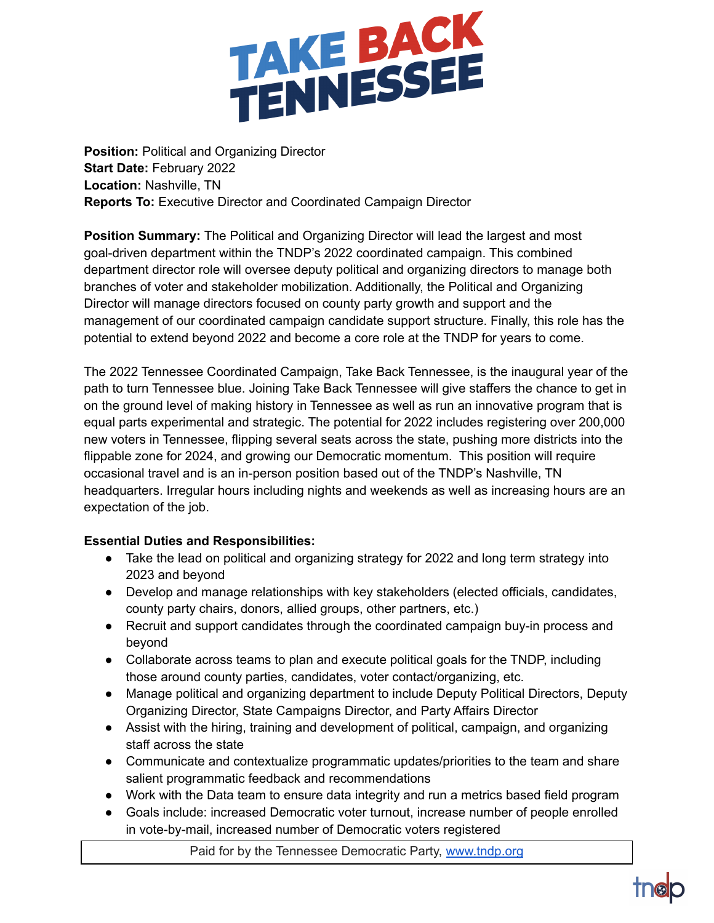

**Position:** Political and Organizing Director **Start Date:** February 2022 **Location:** Nashville, TN **Reports To:** Executive Director and Coordinated Campaign Director

**Position Summary:** The Political and Organizing Director will lead the largest and most goal-driven department within the TNDP's 2022 coordinated campaign. This combined department director role will oversee deputy political and organizing directors to manage both branches of voter and stakeholder mobilization. Additionally, the Political and Organizing Director will manage directors focused on county party growth and support and the management of our coordinated campaign candidate support structure. Finally, this role has the potential to extend beyond 2022 and become a core role at the TNDP for years to come.

The 2022 Tennessee Coordinated Campaign, Take Back Tennessee, is the inaugural year of the path to turn Tennessee blue. Joining Take Back Tennessee will give staffers the chance to get in on the ground level of making history in Tennessee as well as run an innovative program that is equal parts experimental and strategic. The potential for 2022 includes registering over 200,000 new voters in Tennessee, flipping several seats across the state, pushing more districts into the flippable zone for 2024, and growing our Democratic momentum. This position will require occasional travel and is an in-person position based out of the TNDP's Nashville, TN headquarters. Irregular hours including nights and weekends as well as increasing hours are an expectation of the job.

## **Essential Duties and Responsibilities:**

- Take the lead on political and organizing strategy for 2022 and long term strategy into 2023 and beyond
- Develop and manage relationships with key stakeholders (elected officials, candidates, county party chairs, donors, allied groups, other partners, etc.)
- Recruit and support candidates through the coordinated campaign buy-in process and beyond
- Collaborate across teams to plan and execute political goals for the TNDP, including those around county parties, candidates, voter contact/organizing, etc.
- Manage political and organizing department to include Deputy Political Directors, Deputy Organizing Director, State Campaigns Director, and Party Affairs Director
- Assist with the hiring, training and development of political, campaign, and organizing staff across the state
- Communicate and contextualize programmatic updates/priorities to the team and share salient programmatic feedback and recommendations
- Work with the Data team to ensure data integrity and run a metrics based field program
- Goals include: increased Democratic voter turnout, increase number of people enrolled in vote-by-mail, increased number of Democratic voters registered

Paid for by the Tennessee Democratic Party, [www.tndp.org](http://www.tndp.org/)

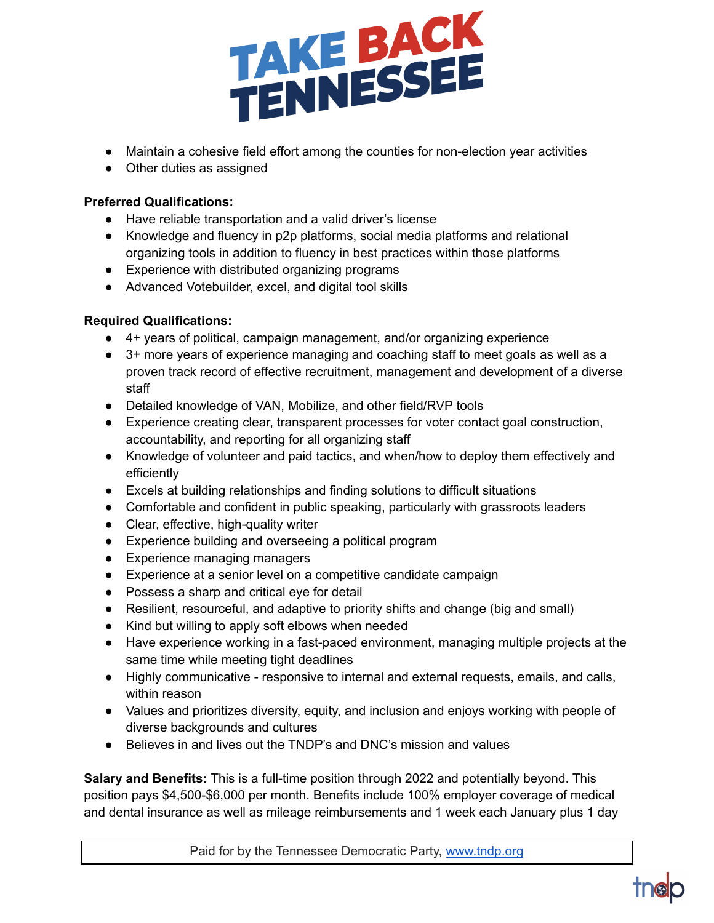

- Maintain a cohesive field effort among the counties for non-election year activities
- Other duties as assigned

## **Preferred Qualifications:**

- Have reliable transportation and a valid driver's license
- Knowledge and fluency in p2p platforms, social media platforms and relational organizing tools in addition to fluency in best practices within those platforms
- Experience with distributed organizing programs
- Advanced Votebuilder, excel, and digital tool skills

## **Required Qualifications:**

- 4+ years of political, campaign management, and/or organizing experience
- 3+ more years of experience managing and coaching staff to meet goals as well as a proven track record of effective recruitment, management and development of a diverse staff
- Detailed knowledge of VAN, Mobilize, and other field/RVP tools
- Experience creating clear, transparent processes for voter contact goal construction, accountability, and reporting for all organizing staff
- Knowledge of volunteer and paid tactics, and when/how to deploy them effectively and efficiently
- Excels at building relationships and finding solutions to difficult situations
- Comfortable and confident in public speaking, particularly with grassroots leaders
- Clear, effective, high-quality writer
- Experience building and overseeing a political program
- Experience managing managers
- Experience at a senior level on a competitive candidate campaign
- Possess a sharp and critical eye for detail
- Resilient, resourceful, and adaptive to priority shifts and change (big and small)
- Kind but willing to apply soft elbows when needed
- Have experience working in a fast-paced environment, managing multiple projects at the same time while meeting tight deadlines
- Highly communicative responsive to internal and external requests, emails, and calls, within reason
- Values and prioritizes diversity, equity, and inclusion and enjoys working with people of diverse backgrounds and cultures
- Believes in and lives out the TNDP's and DNC's mission and values

**Salary and Benefits:** This is a full-time position through 2022 and potentially beyond. This position pays \$4,500-\$6,000 per month. Benefits include 100% employer coverage of medical and dental insurance as well as mileage reimbursements and 1 week each January plus 1 day

Paid for by the Tennessee Democratic Party, [www.tndp.org](http://www.tndp.org/)